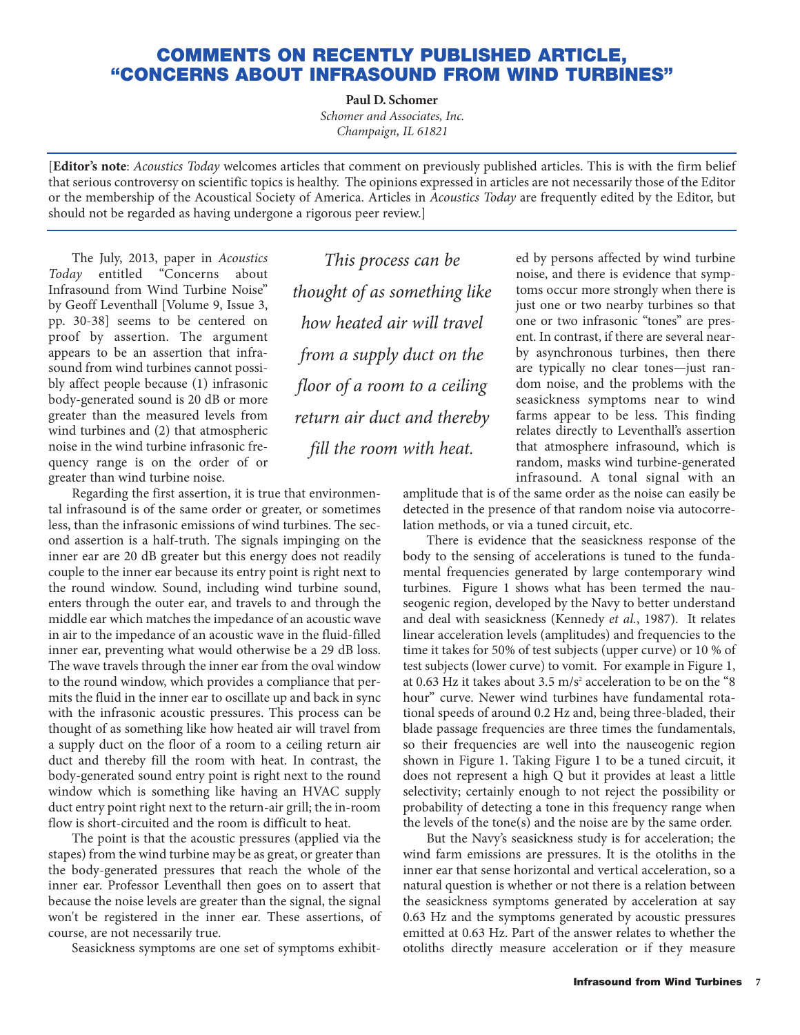## **COMMENTS ON RECENTLY PUBLISHED ARTICLE, "CONCERNS ABOUT INFRASOUND FROM WIND TURBINES"**

**Paul D. Schomer**

*Schomer and Associates, Inc. Champaign, IL 61821*

[**Editor's note**: *Acoustics Today* welcomes articles that comment on previously published articles. This is with the firm belief that serious controversy on scientific topics is healthy. The opinions expressed in articles are not necessarily those of the Editor or the membership of the Acoustical Society of America. Articles in *Acoustics Today* are frequently edited by the Editor, but should not be regarded as having undergone a rigorous peer review.]

The July, 2013, paper in *Acoustics Today* entitled "Concerns about Infrasound from Wind Turbine Noise" by Geoff Leventhall [Volume 9, Issue 3, pp. 30-38] seems to be centered on proof by assertion. The argument appears to be an assertion that infrasound from wind turbines cannot possibly affect people because (1) infrasonic body-generated sound is 20 dB or more greater than the measured levels from wind turbines and (2) that atmospheric noise in the wind turbine infrasonic frequency range is on the order of or greater than wind turbine noise.

Regarding the first assertion, it is true that environmental infrasound is of the same order or greater, or sometimes less, than the infrasonic emissions of wind turbines. The second assertion is a half-truth. The signals impinging on the inner ear are 20 dB greater but this energy does not readily couple to the inner ear because its entry point is right next to the round window. Sound, including wind turbine sound, enters through the outer ear, and travels to and through the middle ear which matches the impedance of an acoustic wave in air to the impedance of an acoustic wave in the fluid-filled inner ear, preventing what would otherwise be a 29 dB loss. The wave travels through the inner ear from the oval window to the round window, which provides a compliance that permits the fluid in the inner ear to oscillate up and back in sync with the infrasonic acoustic pressures. This process can be thought of as something like how heated air will travel from a supply duct on the floor of a room to a ceiling return air duct and thereby fill the room with heat. In contrast, the body-generated sound entry point is right next to the round window which is something like having an HVAC supply duct entry point right next to the return-air grill; the in-room flow is short-circuited and the room is difficult to heat.

The point is that the acoustic pressures (applied via the stapes) from the wind turbine may be as great, or greater than the body-generated pressures that reach the whole of the inner ear. Professor Leventhall then goes on to assert that because the noise levels are greater than the signal, the signal won't be registered in the inner ear. These assertions, of course, are not necessarily true.

Seasickness symptoms are one set of symptoms exhibit-

*This process can be thought of as something like how heated air will travel from a supply duct on the floor of a room to a ceiling return air duct and thereby fill the room with heat.*

ed by persons affected by wind turbine noise, and there is evidence that symptoms occur more strongly when there is just one or two nearby turbines so that one or two infrasonic "tones" are present. In contrast, if there are several nearby asynchronous turbines, then there are typically no clear tones—just random noise, and the problems with the seasickness symptoms near to wind farms appear to be less. This finding relates directly to Leventhall's assertion that atmosphere infrasound, which is random, masks wind turbine-generated infrasound. A tonal signal with an

amplitude that is of the same order as the noise can easily be detected in the presence of that random noise via autocorrelation methods, or via a tuned circuit, etc.

There is evidence that the seasickness response of the body to the sensing of accelerations is tuned to the fundamental frequencies generated by large contemporary wind turbines. Figure 1 shows what has been termed the nauseogenic region, developed by the Navy to better understand and deal with seasickness (Kennedy *et al.*, 1987). It relates linear acceleration levels (amplitudes) and frequencies to the time it takes for 50% of test subjects (upper curve) or 10 % of test subjects (lower curve) to vomit. For example in Figure 1, at 0.63 Hz it takes about 3.5 m/s<sup>2</sup> acceleration to be on the "8 hour" curve. Newer wind turbines have fundamental rotational speeds of around 0.2 Hz and, being three-bladed, their blade passage frequencies are three times the fundamentals, so their frequencies are well into the nauseogenic region shown in Figure 1. Taking Figure 1 to be a tuned circuit, it does not represent a high Q but it provides at least a little selectivity; certainly enough to not reject the possibility or probability of detecting a tone in this frequency range when the levels of the tone(s) and the noise are by the same order.

But the Navy's seasickness study is for acceleration; the wind farm emissions are pressures. It is the otoliths in the inner ear that sense horizontal and vertical acceleration, so a natural question is whether or not there is a relation between the seasickness symptoms generated by acceleration at say 0.63 Hz and the symptoms generated by acoustic pressures emitted at 0.63 Hz. Part of the answer relates to whether the otoliths directly measure acceleration or if they measure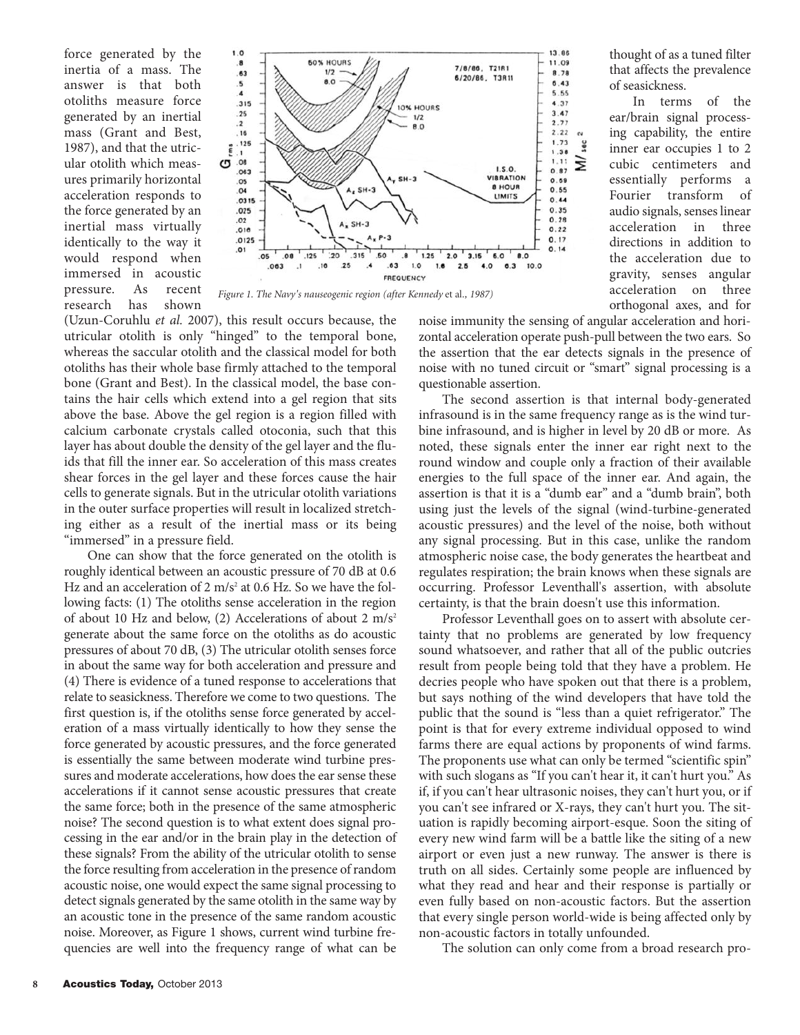force generated by the inertia of a mass. The answer is that both otoliths measure force generated by an inertial mass (Grant and Best, 1987), and that the utricular otolith which measures primarily horizontal acceleration responds to the force generated by an inertial mass virtually identically to the way it would respond when immersed in acoustic pressure. As recent research has shown



*Figure 1. The Navy's nauseogenic region (after Kennedy* et al*., 1987)*

(Uzun-Coruhlu *et al.* 2007), this result occurs because, the utricular otolith is only "hinged" to the temporal bone, whereas the saccular otolith and the classical model for both otoliths has their whole base firmly attached to the temporal bone (Grant and Best). In the classical model, the base contains the hair cells which extend into a gel region that sits above the base. Above the gel region is a region filled with calcium carbonate crystals called otoconia, such that this layer has about double the density of the gel layer and the fluids that fill the inner ear. So acceleration of this mass creates shear forces in the gel layer and these forces cause the hair cells to generate signals. But in the utricular otolith variations in the outer surface properties will result in localized stretching either as a result of the inertial mass or its being "immersed" in a pressure field.

One can show that the force generated on the otolith is roughly identical between an acoustic pressure of 70 dB at 0.6 Hz and an acceleration of 2  $m/s^2$  at 0.6 Hz. So we have the following facts: (1) The otoliths sense acceleration in the region of about 10 Hz and below, (2) Accelerations of about 2  $m/s<sup>2</sup>$ generate about the same force on the otoliths as do acoustic pressures of about 70 dB, (3) The utricular otolith senses force in about the same way for both acceleration and pressure and (4) There is evidence of a tuned response to accelerations that relate to seasickness. Therefore we come to two questions. The first question is, if the otoliths sense force generated by acceleration of a mass virtually identically to how they sense the force generated by acoustic pressures, and the force generated is essentially the same between moderate wind turbine pressures and moderate accelerations, how does the ear sense these accelerations if it cannot sense acoustic pressures that create the same force; both in the presence of the same atmospheric noise? The second question is to what extent does signal processing in the ear and/or in the brain play in the detection of these signals? From the ability of the utricular otolith to sense the force resulting from acceleration in the presence of random acoustic noise, one would expect the same signal processing to detect signals generated by the same otolith in the same way by an acoustic tone in the presence of the same random acoustic noise. Moreover, as Figure 1 shows, current wind turbine frequencies are well into the frequency range of what can be

thought of as a tuned filter that affects the prevalence of seasickness.

In terms of the ear/brain signal processing capability, the entire inner ear occupies 1 to 2 cubic centimeters and essentially performs a Fourier transform of audio signals, senses linear acceleration in three directions in addition to the acceleration due to gravity, senses angular acceleration on three orthogonal axes, and for

noise immunity the sensing of angular acceleration and horizontal acceleration operate push-pull between the two ears. So the assertion that the ear detects signals in the presence of noise with no tuned circuit or "smart" signal processing is a questionable assertion.

The second assertion is that internal body-generated infrasound is in the same frequency range as is the wind turbine infrasound, and is higher in level by 20 dB or more. As noted, these signals enter the inner ear right next to the round window and couple only a fraction of their available energies to the full space of the inner ear. And again, the assertion is that it is a "dumb ear" and a "dumb brain", both using just the levels of the signal (wind-turbine-generated acoustic pressures) and the level of the noise, both without any signal processing. But in this case, unlike the random atmospheric noise case, the body generates the heartbeat and regulates respiration; the brain knows when these signals are occurring. Professor Leventhall's assertion, with absolute certainty, is that the brain doesn't use this information.

Professor Leventhall goes on to assert with absolute certainty that no problems are generated by low frequency sound whatsoever, and rather that all of the public outcries result from people being told that they have a problem. He decries people who have spoken out that there is a problem, but says nothing of the wind developers that have told the public that the sound is "less than a quiet refrigerator." The point is that for every extreme individual opposed to wind farms there are equal actions by proponents of wind farms. The proponents use what can only be termed "scientific spin" with such slogans as "If you can't hear it, it can't hurt you." As if, if you can't hear ultrasonic noises, they can't hurt you, or if you can't see infrared or X-rays, they can't hurt you. The situation is rapidly becoming airport-esque. Soon the siting of every new wind farm will be a battle like the siting of a new airport or even just a new runway. The answer is there is truth on all sides. Certainly some people are influenced by what they read and hear and their response is partially or even fully based on non-acoustic factors. But the assertion that every single person world-wide is being affected only by non-acoustic factors in totally unfounded.

The solution can only come from a broad research pro-